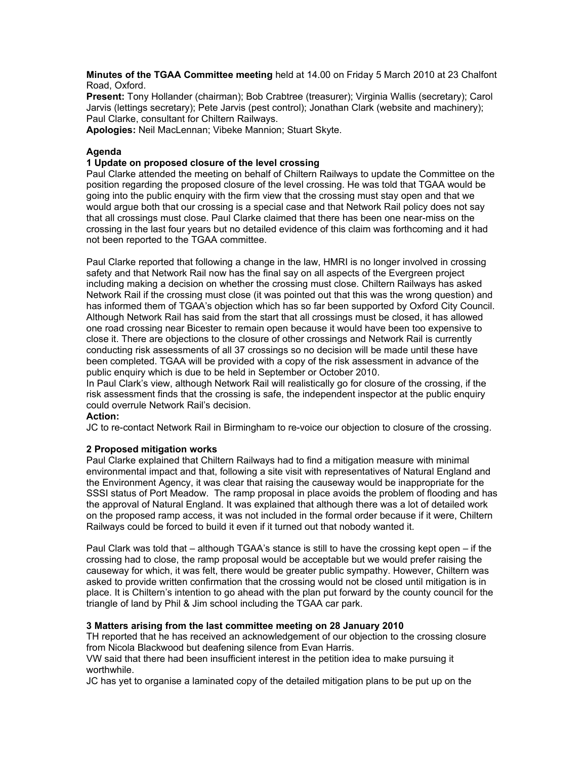**Minutes of the TGAA Committee meeting** held at 14.00 on Friday 5 March 2010 at 23 Chalfont Road, Oxford.

**Present:** Tony Hollander (chairman); Bob Crabtree (treasurer); Virginia Wallis (secretary); Carol Jarvis (lettings secretary); Pete Jarvis (pest control); Jonathan Clark (website and machinery); Paul Clarke, consultant for Chiltern Railways.

**Apologies:** Neil MacLennan; Vibeke Mannion; Stuart Skyte.

### **Agenda**

### **1 Update on proposed closure of the level crossing**

Paul Clarke attended the meeting on behalf of Chiltern Railways to update the Committee on the position regarding the proposed closure of the level crossing. He was told that TGAA would be going into the public enquiry with the firm view that the crossing must stay open and that we would argue both that our crossing is a special case and that Network Rail policy does not say that all crossings must close. Paul Clarke claimed that there has been one near-miss on the crossing in the last four years but no detailed evidence of this claim was forthcoming and it had not been reported to the TGAA committee.

Paul Clarke reported that following a change in the law, HMRI is no longer involved in crossing safety and that Network Rail now has the final say on all aspects of the Evergreen project including making a decision on whether the crossing must close. Chiltern Railways has asked Network Rail if the crossing must close (it was pointed out that this was the wrong question) and has informed them of TGAA's objection which has so far been supported by Oxford City Council. Although Network Rail has said from the start that all crossings must be closed, it has allowed one road crossing near Bicester to remain open because it would have been too expensive to close it. There are objections to the closure of other crossings and Network Rail is currently conducting risk assessments of all 37 crossings so no decision will be made until these have been completed. TGAA will be provided with a copy of the risk assessment in advance of the public enquiry which is due to be held in September or October 2010.

In Paul Clark's view, although Network Rail will realistically go for closure of the crossing, if the risk assessment finds that the crossing is safe, the independent inspector at the public enquiry could overrule Network Rail's decision.

### **Action:**

JC to re-contact Network Rail in Birmingham to re-voice our objection to closure of the crossing.

### **2 Proposed mitigation works**

Paul Clarke explained that Chiltern Railways had to find a mitigation measure with minimal environmental impact and that, following a site visit with representatives of Natural England and the Environment Agency, it was clear that raising the causeway would be inappropriate for the SSSI status of Port Meadow. The ramp proposal in place avoids the problem of flooding and has the approval of Natural England. It was explained that although there was a lot of detailed work on the proposed ramp access, it was not included in the formal order because if it were, Chiltern Railways could be forced to build it even if it turned out that nobody wanted it.

Paul Clark was told that – although TGAA's stance is still to have the crossing kept open – if the crossing had to close, the ramp proposal would be acceptable but we would prefer raising the causeway for which, it was felt, there would be greater public sympathy. However, Chiltern was asked to provide written confirmation that the crossing would not be closed until mitigation is in place. It is Chiltern's intention to go ahead with the plan put forward by the county council for the triangle of land by Phil & Jim school including the TGAA car park.

# **3 Matters arising from the last committee meeting on 28 January 2010**

TH reported that he has received an acknowledgement of our objection to the crossing closure from Nicola Blackwood but deafening silence from Evan Harris.

VW said that there had been insufficient interest in the petition idea to make pursuing it worthwhile.

JC has yet to organise a laminated copy of the detailed mitigation plans to be put up on the